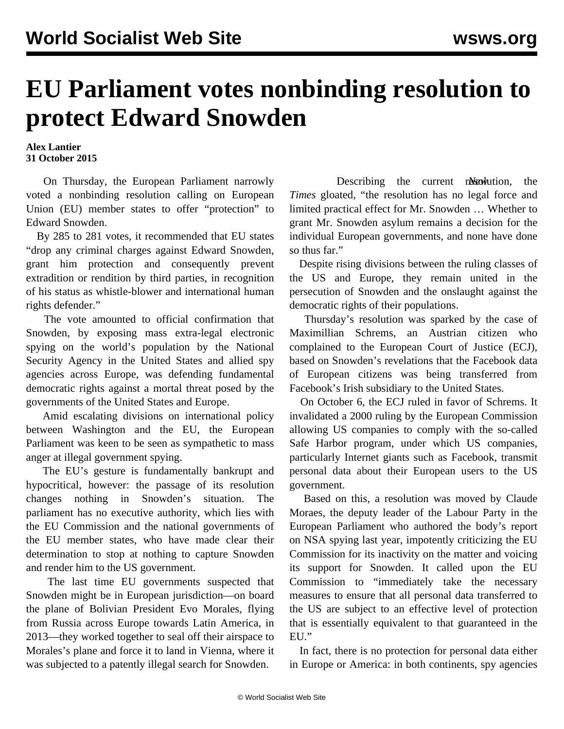## **EU Parliament votes nonbinding resolution to protect Edward Snowden**

**Alex Lantier 31 October 2015**

 On Thursday, the European Parliament narrowly voted a nonbinding resolution calling on European Union (EU) member states to offer "protection" to Edward Snowden.

 By 285 to 281 votes, it recommended that EU states "drop any criminal charges against Edward Snowden, grant him protection and consequently prevent extradition or rendition by third parties, in recognition of his status as whistle-blower and international human rights defender."

 The vote amounted to official confirmation that Snowden, by exposing mass extra-legal electronic spying on the world's population by the National Security Agency in the United States and allied spy agencies across Europe, was defending fundamental democratic rights against a mortal threat posed by the governments of the United States and Europe.

 Amid escalating divisions on international policy between Washington and the EU, the European Parliament was keen to be seen as sympathetic to mass anger at illegal government spying.

 The EU's gesture is fundamentally bankrupt and hypocritical, however: the passage of its resolution changes nothing in Snowden's situation. The parliament has no executive authority, which lies with the EU Commission and the national governments of the EU member states, who have made clear their determination to stop at nothing to capture Snowden and render him to the US government.

 The last time EU governments suspected that Snowden might be in European jurisdiction—on board the plane of Bolivian President Evo Morales, flying from Russia across Europe towards Latin America, in 2013—they worked together to seal off their airspace to Morales's plane and force it to land in Vienna, where it was subjected to a patently illegal search for Snowden.

Describing the current resolution, the *Times* gloated, "the resolution has no legal force and limited practical effect for Mr. Snowden … Whether to grant Mr. Snowden asylum remains a decision for the individual European governments, and none have done so thus far."

 Despite rising divisions between the ruling classes of the US and Europe, they remain united in the persecution of Snowden and the onslaught against the democratic rights of their populations.

 Thursday's resolution was sparked by the case of Maximillian Schrems, an Austrian citizen who complained to the European Court of Justice (ECJ), based on Snowden's revelations that the Facebook data of European citizens was being transferred from Facebook's Irish subsidiary to the United States.

 On October 6, the ECJ ruled in favor of Schrems. It invalidated a 2000 ruling by the European Commission allowing US companies to comply with the so-called Safe Harbor program, under which US companies, particularly Internet giants such as Facebook, transmit personal data about their European users to the US government.

 Based on this, a resolution was moved by Claude Moraes, the deputy leader of the Labour Party in the European Parliament who authored the body's report on NSA spying last year, impotently criticizing the EU Commission for its inactivity on the matter and voicing its support for Snowden. It called upon the EU Commission to "immediately take the necessary measures to ensure that all personal data transferred to the US are subject to an effective level of protection that is essentially equivalent to that guaranteed in the EU."

 In fact, there is no protection for personal data either in Europe or America: in both continents, spy agencies